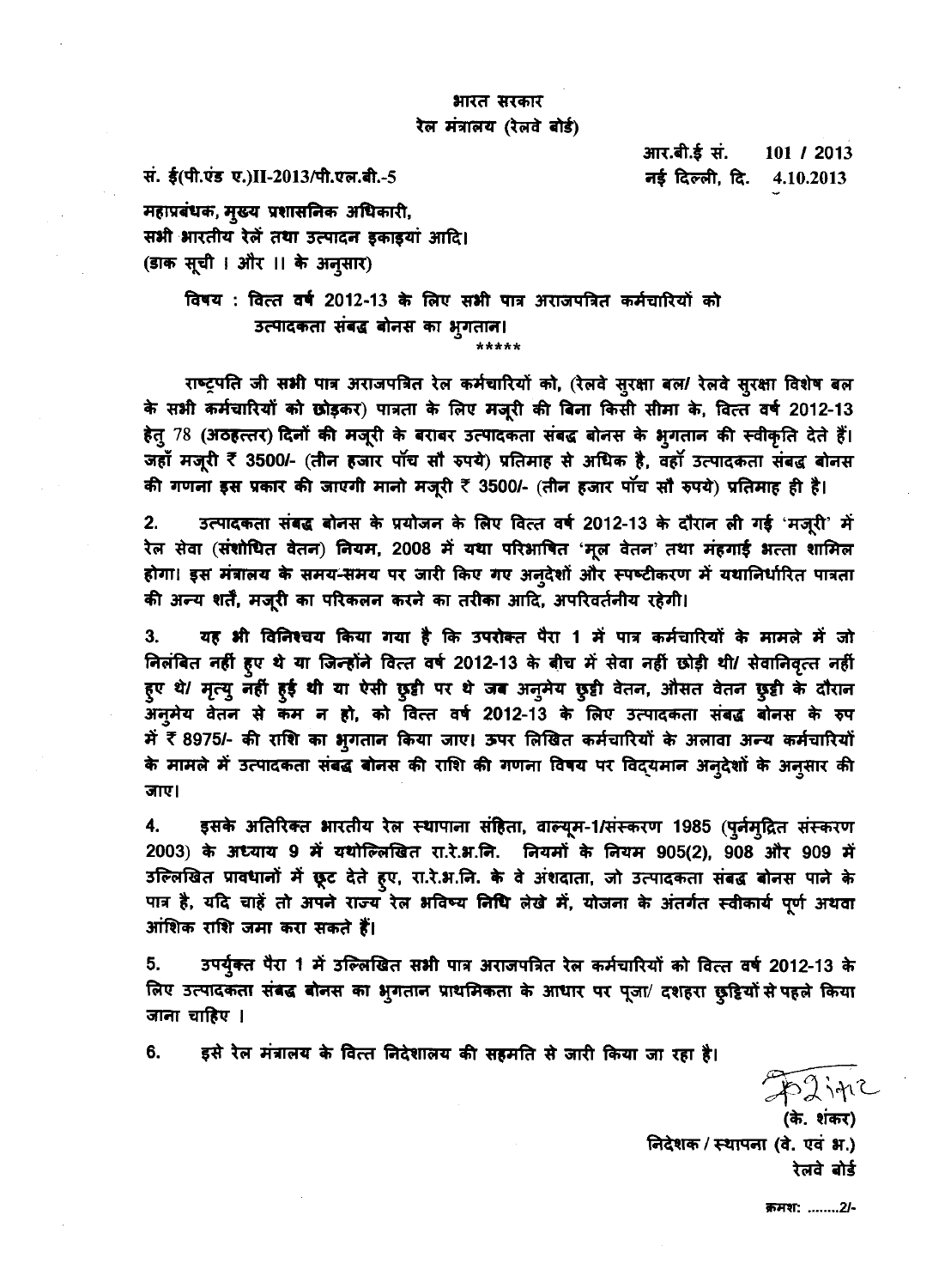## भारत सरकार रेल मंत्रालय (रेलवे बोर्ड)

सं. ई(पी.एंड ए.)II-2013/पी.एल.बी.-5

आर.बी.ई सं. 101 / 2013 नई दिल्ली, दि. 4.10.2013

महाप्रबंधक, मुख्य प्रशासनिक अधिकारी, सभी भारतीय रेलें तथा उत्पादन इकाइयां आदि। (डाक सूची । और ।। के अन्सार)

> विषय : वित्त वर्ष 2012-13 के लिए सभी पात्र अराजपत्रित कर्मचारियों को उत्पादकता संबद्ध बोनस का भूगतान। \*\*\*\*\*

राष्ट्रपति जी सभी पात्र अराजपत्रित रेल कर्मचारियों को, (रेलवे सुरक्षा बल/ रेलवे सुरक्षा विशेष बल के सभी कर्मचारियों को छोड़कर) पात्रता के लिए मजूरी की बिना किसी सीमा के, वित्त वर्ष 2012-13 हेतु 78 (अठहत्तर) दिनों की मजूरी के बराबर उत्पादकता संबद्ध बोनस के भुगतान की स्वीकृति देते हैं। जहाँ मजूरी ₹ 3500/- (तीन हजार पाॅच साँ रुपये) प्रतिमाह से अधिक है, वहाँ उत्पादकता संबद्ध बोनस की गणना इस प्रकार की जाएगी मानो मजूरी ₹ 3500/- (तीन हजार पॉच सौ रुपये) प्रतिमाह ही है।

उत्पादकता संबद्ध बोनस के प्रयोजन के लिए वित्त वर्ष 2012-13 के दौरान ली गई 'मजूरी' में  $2.$ रेल सेवा (संशोधित वेतन) नियम, 2008 में यथा परिभाषित 'मूल वेतन' तथा मंहगाई भत्ता शामिल होगा। इस मंत्रालय के समय-समय पर जारी किए गए अन्देशों और स्पष्टीकरण में यथानिर्धारित पात्रता की अन्य शर्तें, मजूरी का परिकलन करने का तरीका आदि, अपरिवर्तनीय रहेगी।

यह भी विनिश्चय किया गया है कि उपरोक्त पैरा 1 में पात्र कर्मचारियों के मामले में जो 3. निलंबित नहीं हुए थे या जिन्होंने वित्त वर्ष 2012-13 के बीच में सेवा नहीं छोड़ी थी/ सेवानिवृत्त नहीं हुए थे/ मृत्यू नहीं हुई थी या ऐसी छुट्टी पर थे जब अनूमेय छुट्टी वेतन, औसत वेतन छुट्टी के दौरान अनुमेय वेतन से कम न हो, को वित्त वर्ष 2012-13 के लिए उत्पादकता संबद्ध बोनस के रुप में र 8975/- की राशि का भूगतान किया जाए। ऊपर लिखित कर्मचारियों के अलावा अन्य कर्मचारियों के मामले में उत्पादकता संबद्ध बोनस की राशि की गणना विषय पर विद्यमान अनुदेशों के अनुसार की जाए।

इसके अतिरिक्त भारतीय रेल स्थापाना संहिता, वाल्यूम-1/संस्करण 1985 (पूर्नमुद्रित संस्करण 4. 2003) के अध्याय 9 में यथोल्लिखित रा.रे.भ.नि. नियमों के नियम 905(2), 908 और 909 में उल्लिखित प्रावधानों में छूट देते हुए, रा.रे.भ.नि. के वे अंशदाता, जो उत्पादकता संबद्ध बोनस पाने के पात्र है, यदि चाहें तो अपने राज्य रेल भविष्य निधि लेखे में, योजना के अंतर्गत स्वीकार्य पूर्ण अथवा आंशिक राशि जमा करा सकते हैं।

उपर्युक्त पैरा 1 में उल्लिखित सभी पात्र अराजपत्रित रेल कर्मचारियों को वित्त वर्ष 2012-13 के 5. लिए उत्पादकता संबद्ध बोनस का भुगतान प्राथमिकता के आधार पर पूजा/ दशहरा छुट्टियों से पहले किया जाना चाहिए ।

6. इसे रेल मंत्रालय के वित्त निदेशालय की सहमति से जारी किया जा रहा है।

52 ipiZ

(के. शंकर) निदेशक / स्थापना (वे. एवं भ.) रेलवे बोर्ड

क्रमश: ........2/-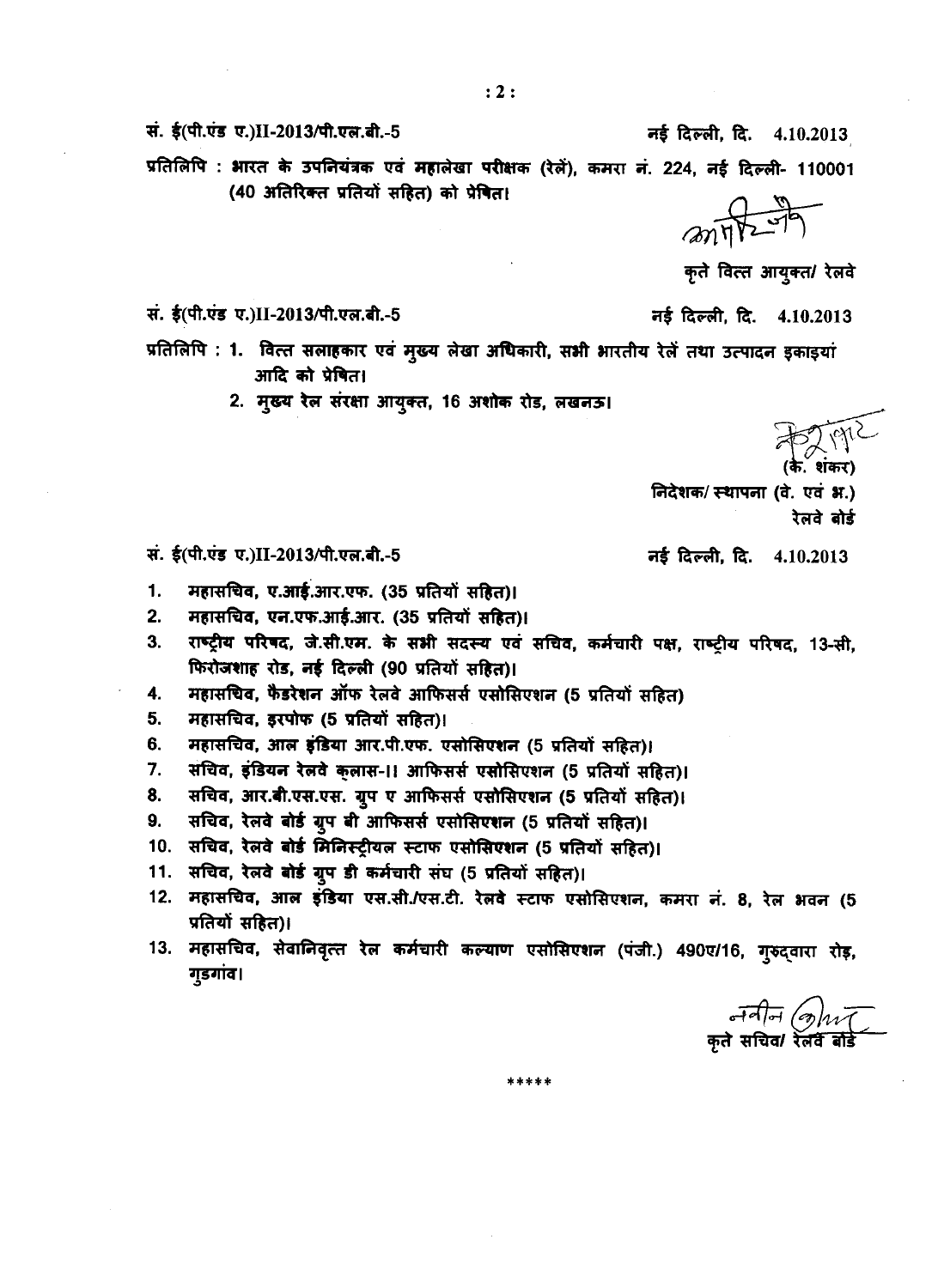सं. ई(पी.एंड ए.)II-2013/पी.एल.बी.-5

नई दिल्ली, दि. 4.10.2013

प्रतिलिपि : भारत के उपनियंत्रक एवं महालेखा परीक्षक (रेलें), कमरा नं. 224, नई दिल्ली- 110001 (40 अतिरिक्त प्रतियों सहित) को प्रेषित।

 $277$ 

कृते वित्त आयुक्त/ रेलवे

सं. ई(पी.एंड ए.)II-2013/पी.एल.बी.-5

सं. ई(पी.एंड ए.)II-2013/पी.एल.बी.-5

नई दिल्ली दि. 4.10.2013

प्रतिलिपि : 1. वित्त सलाहकार एवं मुख्य लेखा अधिकारी, सभी भारतीय रेलें तथा उत्पादन इकाइयां आदि को प्रेषित।

2. मुख्य रेल संरक्षा आयुक्त, 16 अशोक रोड, लखनऊ।

के प्रापार<br>(के. शंकर)

निदेशक/ स्थापना (वे. एवं भ्र.) रेलवे बोर्ड

नई दिल्ली, दि. 4.10.2013

- महासचिव, ए.आई.आर.एफ. (35 प्रतियों सहित)। 1.
- महासचिव, एन.एफ.आई.आर. (35 प्रतियों सहित)।  $2.$
- $3.$ राष्ट्रीय परिषद, जे.सी.एम. के सभी सदस्य एवं सचिव, कर्मचारी पक्ष, राष्ट्रीय परिषद, 13-सी, फिरोजशाह रोड, नई दिल्ली (90 प्रतियों सहित)।
- $4.$ महासचिव, फैडरेशन ऑफ रेलवे आफिसर्स एसोसिएशन (5 प्रतियों सहित)
- महासचिव, इरपोफ (5 प्रतियों सहित)। 5.
- महासचिव, आल इंडिया आर.पी.एफ. एसोसिएशन (5 प्रतियों सहित)। 6.
- $7.$ संचिव, इंडियन रेलवे कुलास-।! आफिसर्स एसोसिएशन (5 प्रतियों सहित)।
- 8. सचिव, आर.बी.एस.एस. ग्रुप ए आफिसर्स एसोसिएशन (5 प्रतियों सहित)।
- सचिव, रेलवे बोर्ड ग्रुप बी आफिसर्स एसोसिएशन (5 प्रतियों सहित)। 9.
- 10. सचिव, रेलवे बोर्ड मिनिस्ट्रीयल स्टाफ एसोसिएशन (5 प्रतियों सहित)।
- 11. सचिव, रेलवे बोर्ड ग्रुप डी कर्मचारी संघ (5 प्रतियों सहित)।
- 12. महासचिव, आल इंडिया एस.सी./एस.टी. रेलवे स्टाफ एसोसिएशन, कमरा नं. 8, रेल भवन (5 प्रतियों सहित)।
- 13. महासचिव, सेवानिवृत्त रेल कर्मचारी कल्याण एसोसिएशन (पंजी.) 490ए/16, गुरुद्वारा रोड़, गुडगांव।

\*\*\*\*\*

र्जनीन (कोयाना)<br>कृते सचिवा रेलवे बोर्डे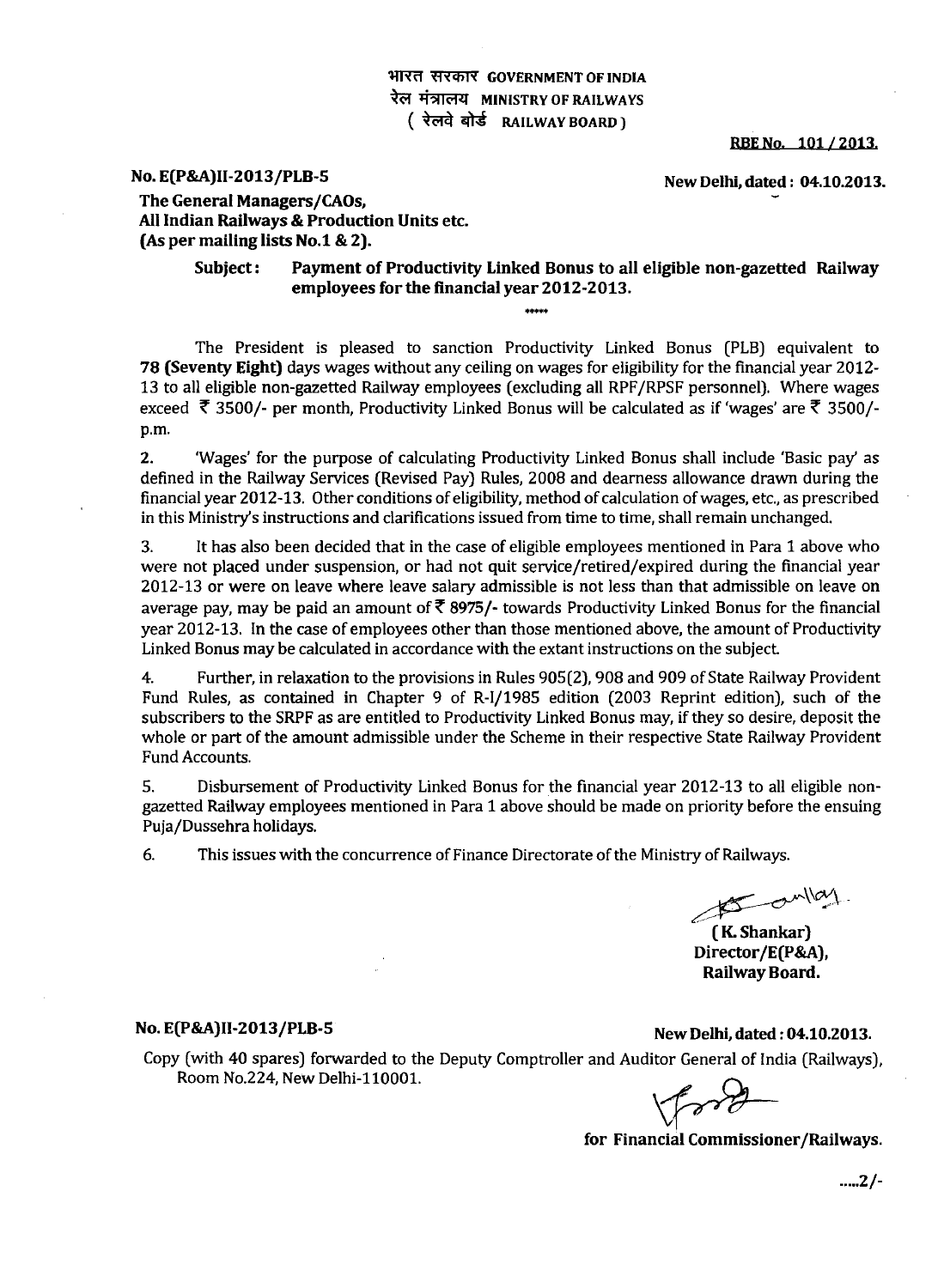## **<sup>2</sup>HIरत सरकार GOVERNMENT OF INDIA** रेल मंत्रालय **MINISTRY OF RAILWAYS Q14 As RAILWAY BOARD )**

**RBE No. 101 / 2013,** 

# **No. E(P&A)II-2013/PLB-5 New Delhi, dated : 04.10.2013.**

**The General Managers/CAOs, All Indian Railways & Production Units etc. (As per mailing lists No.1 & 2).** 

> **Subject : Payment of Productivity Linked Bonus to all eligible non-gazetted Railway employees for the financial year 2012-2013.**

The President is pleased to sanction Productivity Linked Bonus (PLB) equivalent to **78 (Seventy Eight)** days wages without any ceiling on wages for eligibility for the financial year 2012- 13 to all eligible non-gazetted Railway employees (excluding all RPF/RPSF personnel). Where wages exceed  $\bar{\tau}$  3500/- per month, Productivity Linked Bonus will be calculated as if 'wages' are  $\bar{\tau}$  3500/p.m.

2. 'Wages' for the purpose of calculating Productivity Linked Bonus shall include 'Basic pay' as defined in the Railway Services (Revised Pay) Rules, 2008 and dearness allowance drawn during the financial year 2012-13. Other conditions of eligibility, method of calculation of wages, etc., as prescribed in this Ministry's instructions and clarifications issued from time to time, shall remain unchanged.

3. It has also been decided that in the case of eligible employees mentioned in Para 1 above who were not placed under suspension, or had not quit service/retired/expired during the financial year 2012-13 or were on leave where leave salary admissible is not less than that admissible on leave on average pay, may be paid an amount of  $\bar{\tau}$  8975/- towards Productivity Linked Bonus for the financial year 2012-13. In the case of employees other than those mentioned above, the amount of Productivity Linked Bonus may be calculated in accordance with the extant instructions on the subject

4. Further, in relaxation to the provisions in Rules 905(2), 908 and 909 of State Railway Provident Fund Rules, as contained in Chapter 9 of R-I/1985 edition (2003 Reprint edition), such of the subscribers to the SRPF as are entitled to Productivity Linked Bonus may, if they so desire, deposit the whole or part of the amount admissible under the Scheme in their respective State Railway Provident Fund Accounts.

S. Disbursement of Productivity Linked Bonus for the financial year 2012-13 to all eligible nongazetted Railway employees mentioned in Para 1 above should be made on priority before the ensuing Puja/Dussehra holidays.

6. This issues with the concurrence of Finance Directorate of the Ministry of Railways.

 $\sigma$  and  $\alpha$ 

**( K. Shankar) Director/E(P&A), Railway Board.** 

**No. E(P&A)II-2013/PLB-5 New Delhi, dated : 04.10.2013.** 

Copy (with 40 spares) forwarded to the Deputy Comptroller and Auditor General of India (Railways), Room No.224, New Delhi-110001.

**for Financial Commissioner/Railways.** 

**2/-**